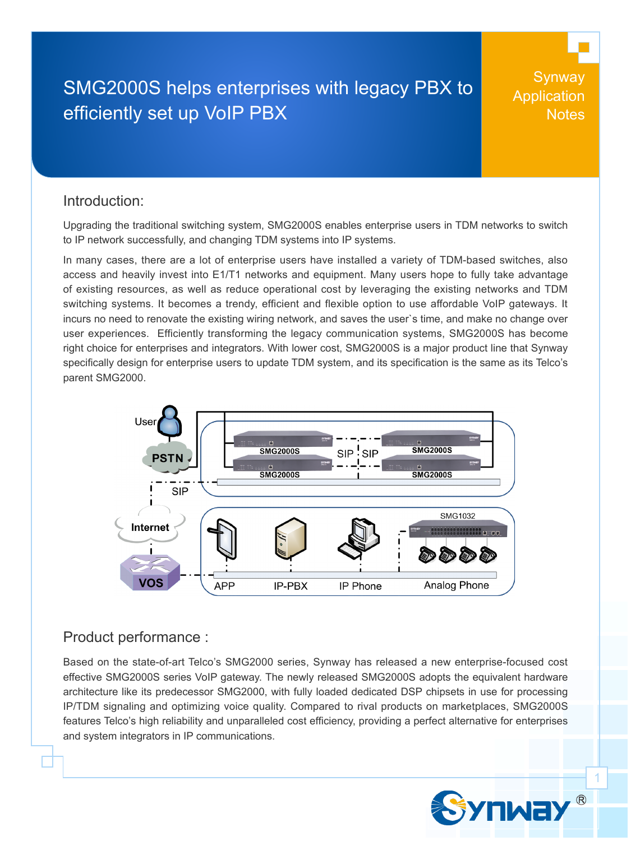# SMG2000S helps enterprises with legacy PBX to efficiently set up VoIP PBX

**Synway Application Notes** 

#### Introduction:

Upgrading the traditional switching system, SMG2000S enables enterprise users in TDM networks to switch to IP network successfully, and changing TDM systems into IP systems.

In many cases, there are a lot of enterprise users have installed a variety of TDM-based switches, also access and heavily invest into E1/T1 networks and equipment. Many users hope to fully take advantage of existing resources, as well as reduce operational cost by leveraging the existing networks and TDM switching systems. It becomes a trendy, efficient and flexible option to use affordable VoIP gateways. It incurs no need to renovate the existing wiring network, and saves the user`s time, and make no change over user experiences. Efficiently transforming the legacy communication systems, SMG2000S has become right choice for enterprises and integrators. With lower cost, SMG2000S is a major product line that Synway specifically design for enterprise users to update TDM system, and its specification is the same as its Telco's parent SMG2000.



### Product performance :

Based on the state-of-art Telco's SMG2000 series, Synway has released a new enterprise-focused cost effective SMG2000S series VoIP gateway. The newly released SMG2000S adopts the equivalent hardware architecture like its predecessor SMG2000, with fully loaded dedicated DSP chipsets in use for processing IP/TDM signaling and optimizing voice quality. Compared to rival products on marketplaces, SMG2000S features Telco's high reliability and unparalleled cost efficiency, providing a perfect alternative for enterprises and system integrators in IP communications.

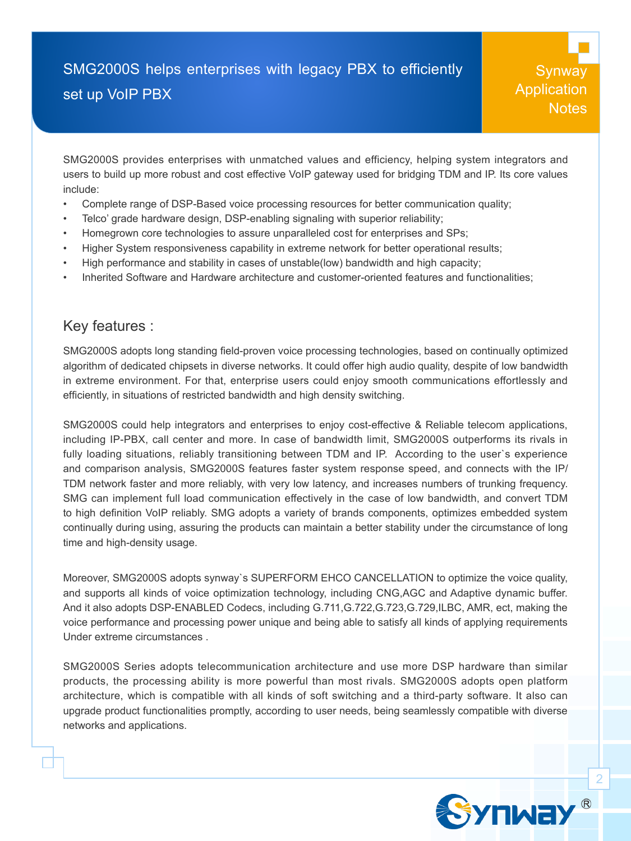## SMG2000S helps enterprises with legacy PBX to efficiently set up VoIP PBX

Synway **Application Notes** 

SMG2000S provides enterprises with unmatched values and efficiency, helping system integrators and users to build up more robust and cost effective VoIP gateway used for bridging TDM and IP. Its core values include:

- Complete range of DSP-Based voice processing resources for better communication quality;
- Telco' grade hardware design, DSP-enabling signaling with superior reliability;
- Homegrown core technologies to assure unparalleled cost for enterprises and SPs;
- Higher System responsiveness capability in extreme network for better operational results;
- High performance and stability in cases of unstable(low) bandwidth and high capacity;
- Inherited Software and Hardware architecture and customer-oriented features and functionalities;

### Key features :

SMG2000S adopts long standing field-proven voice processing technologies, based on continually optimized algorithm of dedicated chipsets in diverse networks. It could offer high audio quality, despite of low bandwidth in extreme environment. For that, enterprise users could enjoy smooth communications effortlessly and efficiently, in situations of restricted bandwidth and high density switching.

SMG2000S could help integrators and enterprises to enjoy cost-effective & Reliable telecom applications, including IP-PBX, call center and more. In case of bandwidth limit, SMG2000S outperforms its rivals in fully loading situations, reliably transitioning between TDM and IP. According to the user`s experience and comparison analysis, SMG2000S features faster system response speed, and connects with the IP/ TDM network faster and more reliably, with very low latency, and increases numbers of trunking frequency. SMG can implement full load communication effectively in the case of low bandwidth, and convert TDM to high definition VoIP reliably. SMG adopts a variety of brands components, optimizes embedded system continually during using, assuring the products can maintain a better stability under the circumstance of long time and high-density usage.

Moreover, SMG2000S adopts synway`s SUPERFORM EHCO CANCELLATION to optimize the voice quality, and supports all kinds of voice optimization technology, including CNG,AGC and Adaptive dynamic buffer. And it also adopts DSP-ENABLED Codecs, including G.711,G.722,G.723,G.729,ILBC, AMR, ect, making the voice performance and processing power unique and being able to satisfy all kinds of applying requirements Under extreme circumstances .

SMG2000S Series adopts telecommunication architecture and use more DSP hardware than similar products, the processing ability is more powerful than most rivals. SMG2000S adopts open platform architecture, which is compatible with all kinds of soft switching and a third-party software. It also can upgrade product functionalities promptly, according to user needs, being seamlessly compatible with diverse networks and applications.